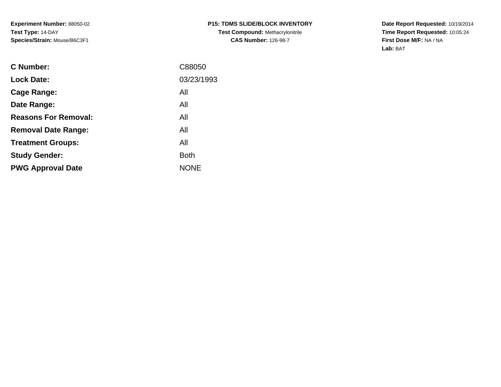**Date Report Requested:** 10/19/2014 **Time Report Requested:** 10:05:24**First Dose M/F:** NA / NA**Lab:** BAT

| <b>Lock Date:</b><br>All<br>Cage Range:<br>All<br>Date Range:<br><b>Reasons For Removal:</b><br>All<br>All<br><b>Removal Date Range:</b><br>All<br><b>Treatment Groups:</b><br><b>Both</b><br><b>Study Gender:</b><br><b>NONE</b><br><b>PWG Approval Date</b> | <b>C</b> Number: | C88050     |
|---------------------------------------------------------------------------------------------------------------------------------------------------------------------------------------------------------------------------------------------------------------|------------------|------------|
|                                                                                                                                                                                                                                                               |                  | 03/23/1993 |
|                                                                                                                                                                                                                                                               |                  |            |
|                                                                                                                                                                                                                                                               |                  |            |
|                                                                                                                                                                                                                                                               |                  |            |
|                                                                                                                                                                                                                                                               |                  |            |
|                                                                                                                                                                                                                                                               |                  |            |
|                                                                                                                                                                                                                                                               |                  |            |
|                                                                                                                                                                                                                                                               |                  |            |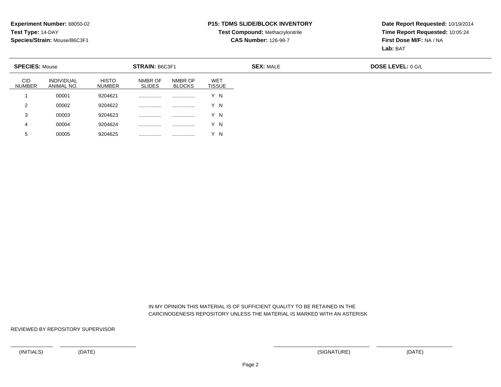### **P15: TDMS SLIDE/BLOCK INVENTORY**

# **Test Compound:** Methacrylonitrile**CAS Number:** 126-98-7

**Date Report Requested:** 10/19/2014**Time Report Requested:** 10:05:24**First Dose M/F:** NA / NA**Lab:** BAT

| <b>SPECIES: Mouse</b> |                                 |                        | STRAIN: B6C3F1           |                          |                             |
|-----------------------|---------------------------------|------------------------|--------------------------|--------------------------|-----------------------------|
| CID<br>NUMBER         | <b>INDIVIDUAL</b><br>ANIMAL NO. | <b>HISTO</b><br>NUMBER | NMBR OF<br><b>SLIDES</b> | NMBR OF<br><b>BLOCKS</b> | <b>WET</b><br><b>TISSUE</b> |
|                       | 00001                           | 9204621                |                          |                          | v<br>'N                     |
| 2                     | 00002                           | 9204622                |                          | .                        | Y N                         |
| 3                     | 00003                           | 9204623                | .                        | .                        | Y N                         |
| 4                     | 00004                           | 9204624                |                          | .                        | Y N                         |
| 5                     | 00005                           | 9204625                | .                        |                          | Y N                         |

 IN MY OPINION THIS MATERIAL IS OF SUFFICIENT QUALITY TO BE RETAINED IN THECARCINOGENESIS REPOSITORY UNLESS THE MATERIAL IS MARKED WITH AN ASTERISK

REVIEWED BY REPOSITORY SUPERVISOR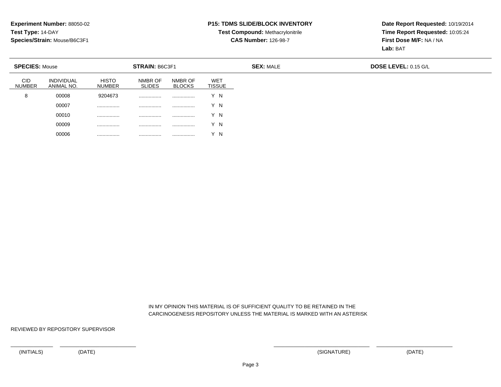### **P15: TDMS SLIDE/BLOCK INVENTORY**

# **Test Compound:** Methacrylonitrile**CAS Number:** 126-98-7

**Date Report Requested:** 10/19/2014**Time Report Requested:** 10:05:24**First Dose M/F:** NA / NA**Lab:** BAT

| <b>SPECIES: Mouse</b> |                                 |                               | STRAIN: B6C3F1           |                          |                             | <b>SEX: MALE</b> | <b>DOSE LEVEL: 0.15 G/L</b> |
|-----------------------|---------------------------------|-------------------------------|--------------------------|--------------------------|-----------------------------|------------------|-----------------------------|
| CID<br><b>NUMBER</b>  | <b>INDIVIDUAL</b><br>ANIMAL NO. | <b>HISTO</b><br><b>NUMBER</b> | NMBR OF<br><b>SLIDES</b> | NMBR OF<br><b>BLOCKS</b> | <b>WET</b><br><b>TISSUE</b> |                  |                             |
| 8                     | 00008                           | 9204673                       | .                        |                          | Y N                         |                  |                             |
|                       | 00007                           |                               | .                        |                          | Y N                         |                  |                             |
|                       | 00010                           | .                             |                          | .                        | Y N                         |                  |                             |
|                       | 00009                           |                               | .                        |                          | Y N                         |                  |                             |
|                       | 00006                           |                               |                          |                          | Y N                         |                  |                             |

### IN MY OPINION THIS MATERIAL IS OF SUFFICIENT QUALITY TO BE RETAINED IN THECARCINOGENESIS REPOSITORY UNLESS THE MATERIAL IS MARKED WITH AN ASTERISK

REVIEWED BY REPOSITORY SUPERVISOR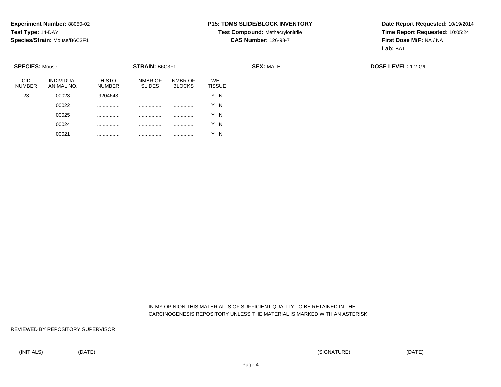### **P15: TDMS SLIDE/BLOCK INVENTORY**

# **Test Compound:** Methacrylonitrile**CAS Number:** 126-98-7

**Date Report Requested:** 10/19/2014**Time Report Requested:** 10:05:24**First Dose M/F:** NA / NA**Lab:** BAT

| <b>SPECIES: Mouse</b>       |                          |                               | <b>STRAIN: B6C3F1</b>    |                          |                             | <b>SEX: MALE</b> |
|-----------------------------|--------------------------|-------------------------------|--------------------------|--------------------------|-----------------------------|------------------|
| <b>CID</b><br><b>NUMBER</b> | INDIVIDUAL<br>ANIMAL NO. | <b>HISTO</b><br><b>NUMBER</b> | NMBR OF<br><b>SLIDES</b> | NMBR OF<br><b>BLOCKS</b> | <b>WET</b><br><b>TISSUE</b> |                  |
| 23                          | 00023                    | 9204643                       |                          |                          | Y N                         |                  |
|                             | 00022                    | .                             | .                        | .                        | Y N                         |                  |
|                             | 00025                    | .                             | .                        |                          | Y N                         |                  |
|                             | 00024                    | .                             | .                        |                          | Y N                         |                  |
|                             | 00021                    | .                             | .                        |                          | Y N                         |                  |

 IN MY OPINION THIS MATERIAL IS OF SUFFICIENT QUALITY TO BE RETAINED IN THECARCINOGENESIS REPOSITORY UNLESS THE MATERIAL IS MARKED WITH AN ASTERISK

REVIEWED BY REPOSITORY SUPERVISOR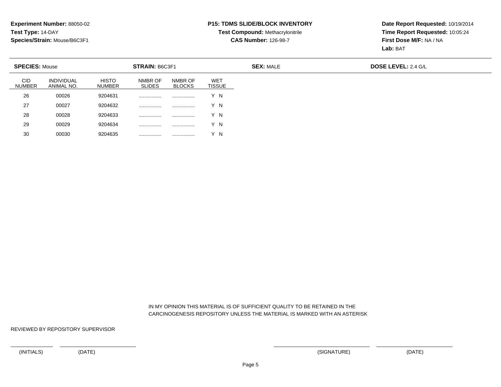### **P15: TDMS SLIDE/BLOCK INVENTORY**

# **Test Compound:** Methacrylonitrile**CAS Number:** 126-98-7

**Date Report Requested:** 10/19/2014**Time Report Requested:** 10:05:24**First Dose M/F:** NA / NA**Lab:** BAT

| <b>SPECIES: Mouse</b>       |                                 |                               | STRAIN: B6C3F1           |                          |                             |
|-----------------------------|---------------------------------|-------------------------------|--------------------------|--------------------------|-----------------------------|
| <b>CID</b><br><b>NUMBER</b> | <b>INDIVIDUAL</b><br>ANIMAL NO. | <b>HISTO</b><br><b>NUMBER</b> | NMBR OF<br><b>SLIDES</b> | NMBR OF<br><b>BLOCKS</b> | <b>WET</b><br><b>TISSUE</b> |
| 26                          | 00026                           | 9204631                       |                          | .                        | Y N                         |
| 27                          | 00027                           | 9204632                       |                          |                          | Y N                         |
| 28                          | 00028                           | 9204633                       |                          |                          | Y N                         |
| 29                          | 00029                           | 9204634                       |                          |                          | Y N                         |
| 30                          | 00030                           | 9204635                       |                          |                          | Y N                         |

 IN MY OPINION THIS MATERIAL IS OF SUFFICIENT QUALITY TO BE RETAINED IN THECARCINOGENESIS REPOSITORY UNLESS THE MATERIAL IS MARKED WITH AN ASTERISK

REVIEWED BY REPOSITORY SUPERVISOR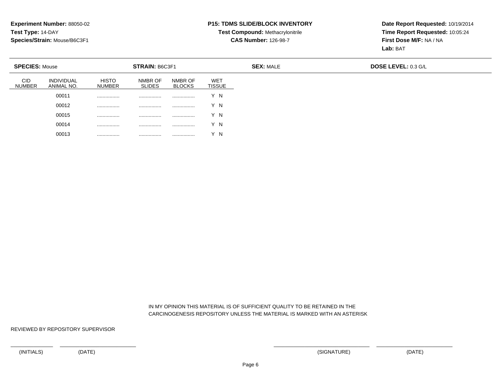### **P15: TDMS SLIDE/BLOCK INVENTORY**

# **Test Compound:** Methacrylonitrile**CAS Number:** 126-98-7

**Date Report Requested:** 10/19/2014**Time Report Requested:** 10:05:24**First Dose M/F:** NA / NA**Lab:** BAT

| <b>SPECIES: Mouse</b>       |                                 |                               | STRAIN: B6C3F1           |                          |                             |
|-----------------------------|---------------------------------|-------------------------------|--------------------------|--------------------------|-----------------------------|
| <b>CID</b><br><b>NUMBER</b> | <b>INDIVIDUAL</b><br>ANIMAL NO. | <b>HISTO</b><br><b>NUMBER</b> | NMBR OF<br><b>SLIDES</b> | NMBR OF<br><b>BLOCKS</b> | <b>WET</b><br><b>TISSUE</b> |
|                             | 00011                           |                               | .                        |                          | Y N                         |
|                             | 00012                           | .                             | .                        | .                        | Y N                         |
|                             | 00015                           | .                             | .                        | .                        | Y N                         |
|                             | 00014                           |                               | .                        |                          | Y N                         |
|                             | 00013                           |                               | .                        | .                        | Y N                         |

 IN MY OPINION THIS MATERIAL IS OF SUFFICIENT QUALITY TO BE RETAINED IN THECARCINOGENESIS REPOSITORY UNLESS THE MATERIAL IS MARKED WITH AN ASTERISK

REVIEWED BY REPOSITORY SUPERVISOR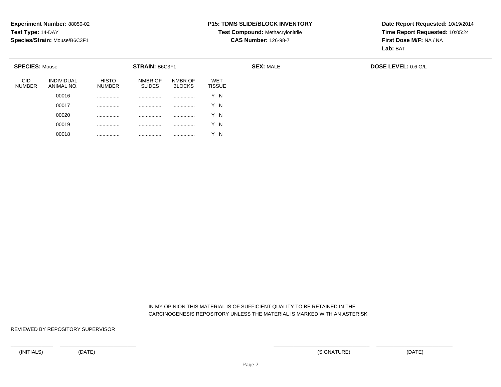### **P15: TDMS SLIDE/BLOCK INVENTORY**

# **Test Compound:** Methacrylonitrile**CAS Number:** 126-98-7

**Date Report Requested:** 10/19/2014**Time Report Requested:** 10:05:24**First Dose M/F:** NA / NA**Lab:** BAT

| <b>SPECIES: Mouse</b> |                                 |                               | STRAIN: B6C3F1           |                          |                             | <b>SEX: MALE</b> | <b>DOSE LEVEL: 0.6 G/L</b> |
|-----------------------|---------------------------------|-------------------------------|--------------------------|--------------------------|-----------------------------|------------------|----------------------------|
| CID<br><b>NUMBER</b>  | <b>INDIVIDUAL</b><br>ANIMAL NO. | <b>HISTO</b><br><b>NUMBER</b> | NMBR OF<br><b>SLIDES</b> | NMBR OF<br><b>BLOCKS</b> | <b>WET</b><br><b>TISSUE</b> |                  |                            |
|                       | 00016                           | .                             | .                        | .                        | Y N                         |                  |                            |
|                       | 00017                           |                               | .                        |                          | Y N                         |                  |                            |
|                       | 00020                           |                               |                          | .                        | Y N                         |                  |                            |
|                       | 00019                           |                               | .                        |                          | Y N                         |                  |                            |
|                       | 00018                           |                               |                          | .                        | Y N                         |                  |                            |

 IN MY OPINION THIS MATERIAL IS OF SUFFICIENT QUALITY TO BE RETAINED IN THECARCINOGENESIS REPOSITORY UNLESS THE MATERIAL IS MARKED WITH AN ASTERISK

REVIEWED BY REPOSITORY SUPERVISOR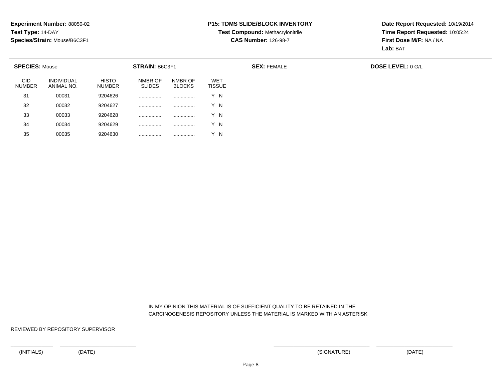### **P15: TDMS SLIDE/BLOCK INVENTORY**

# **Test Compound:** Methacrylonitrile**CAS Number:** 126-98-7

**Date Report Requested:** 10/19/2014**Time Report Requested:** 10:05:24**First Dose M/F:** NA / NA**Lab:** BAT

| <b>SPECIES: Mouse</b>       |                          |                        | <b>STRAIN: B6C3F1</b>    |                          |                             |
|-----------------------------|--------------------------|------------------------|--------------------------|--------------------------|-----------------------------|
| <b>CID</b><br><b>NUMBER</b> | INDIVIDUAL<br>ANIMAL NO. | <b>HISTO</b><br>NUMBER | NMBR OF<br><b>SLIDES</b> | NMBR OF<br><b>BLOCKS</b> | <b>WET</b><br><b>TISSUE</b> |
| 31                          | 00031                    | 9204626                |                          | .                        | Y N                         |
| 32                          | 00032                    | 9204627                |                          |                          | Y N                         |
| 33                          | 00033                    | 9204628                |                          |                          | Y N                         |
| 34                          | 00034                    | 9204629                |                          |                          | Y N                         |
| 35                          | 00035                    | 9204630                |                          |                          | Y N                         |

 IN MY OPINION THIS MATERIAL IS OF SUFFICIENT QUALITY TO BE RETAINED IN THECARCINOGENESIS REPOSITORY UNLESS THE MATERIAL IS MARKED WITH AN ASTERISK

REVIEWED BY REPOSITORY SUPERVISOR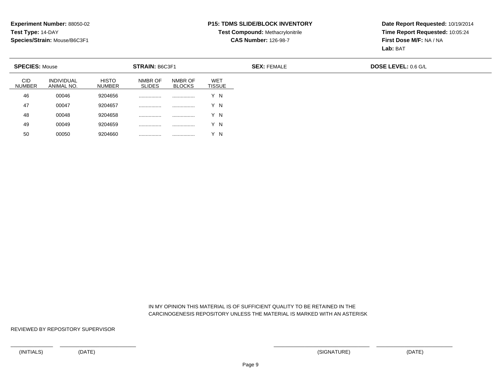### **P15: TDMS SLIDE/BLOCK INVENTORY**

# **Test Compound:** Methacrylonitrile**CAS Number:** 126-98-7

**Date Report Requested:** 10/19/2014**Time Report Requested:** 10:05:24**First Dose M/F:** NA / NA**Lab:** BAT

|                             | <b>SPECIES: Mouse</b><br><b>STRAIN: B6C3F1</b> |                        |                          | <b>SEX: FEMALE</b>       | <b>DOSE LEVEL: 0.6 G/L</b>  |  |  |
|-----------------------------|------------------------------------------------|------------------------|--------------------------|--------------------------|-----------------------------|--|--|
| <b>CID</b><br><b>NUMBER</b> | <b>INDIVIDUAL</b><br>ANIMAL NO.                | <b>HISTO</b><br>NUMBER | NMBR OF<br><b>SLIDES</b> | NMBR OF<br><b>BLOCKS</b> | <b>WET</b><br><b>TISSUE</b> |  |  |
| 46                          | 00046                                          | 9204656                |                          |                          | Y N                         |  |  |
| 47                          | 00047                                          | 9204657                |                          |                          | Y N                         |  |  |
| 48                          | 00048                                          | 9204658                |                          |                          | Y N                         |  |  |
| 49                          | 00049                                          | 9204659                |                          |                          | Y N                         |  |  |
| 50                          | 00050                                          | 9204660                |                          |                          | Y N                         |  |  |

 IN MY OPINION THIS MATERIAL IS OF SUFFICIENT QUALITY TO BE RETAINED IN THECARCINOGENESIS REPOSITORY UNLESS THE MATERIAL IS MARKED WITH AN ASTERISK

REVIEWED BY REPOSITORY SUPERVISOR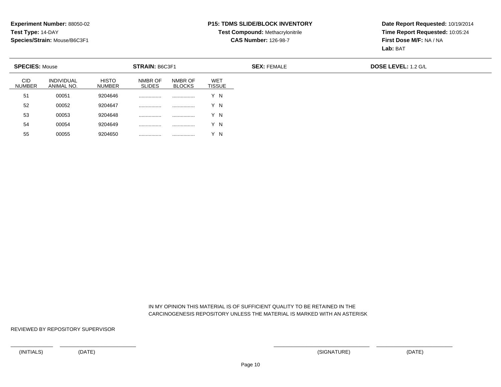<sup>00055</sup> <sup>9204650</sup> ................ ................ Y N

#### **P15: TDMS SLIDE/BLOCK INVENTORY**

# **Test Compound:** Methacrylonitrile**CAS Number:** 126-98-7

**Date Report Requested:** 10/19/2014**Time Report Requested:** 10:05:24**First Dose M/F:** NA / NA**Lab:** BAT

| <b>SPECIES: Mouse</b>       |                                 |                               | <b>STRAIN: B6C3F1</b>    |                          |                      | <b>SEX: FEMALE</b> | <b>DOSE LEVEL: 1.2 G/L</b> |
|-----------------------------|---------------------------------|-------------------------------|--------------------------|--------------------------|----------------------|--------------------|----------------------------|
| <b>CID</b><br><b>NUMBER</b> | <b>INDIVIDUAL</b><br>ANIMAL NO. | <b>HISTO</b><br><b>NUMBER</b> | NMBR OF<br><b>SLIDES</b> | NMBR OF<br><b>BLOCKS</b> | WET<br><b>TISSUE</b> |                    |                            |
| 51                          | 00051                           | 9204646                       |                          |                          | Y N                  |                    |                            |
| 52                          | 00052                           | 9204647                       |                          |                          | Y N                  |                    |                            |
| 53                          | 00053                           | 9204648                       |                          |                          | Y N                  |                    |                            |
| 54                          | 00054                           | 9204649                       |                          |                          | Y N                  |                    |                            |
| 55                          | 00055                           | 9204650                       |                          |                          | v<br>-N              |                    |                            |

 IN MY OPINION THIS MATERIAL IS OF SUFFICIENT QUALITY TO BE RETAINED IN THECARCINOGENESIS REPOSITORY UNLESS THE MATERIAL IS MARKED WITH AN ASTERISK

REVIEWED BY REPOSITORY SUPERVISOR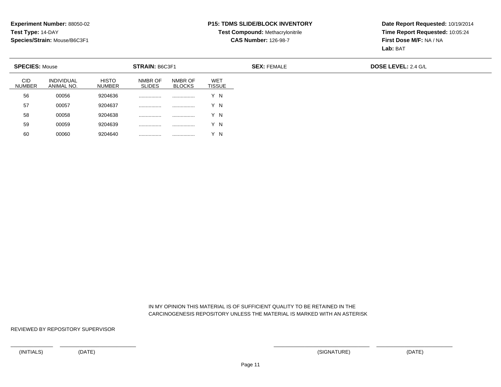### **P15: TDMS SLIDE/BLOCK INVENTORY**

# **Test Compound:** Methacrylonitrile**CAS Number:** 126-98-7

**Date Report Requested:** 10/19/2014**Time Report Requested:** 10:05:24**First Dose M/F:** NA / NA**Lab:** BAT

| <b>SPECIES: Mouse</b>       |                                 |                               | <b>STRAIN: B6C3F1</b>    |                          |                      | <b>SEX: FEMALE</b> | <b>DOSE LEVEL: 2.4 G/L</b> |
|-----------------------------|---------------------------------|-------------------------------|--------------------------|--------------------------|----------------------|--------------------|----------------------------|
| <b>CID</b><br><b>NUMBER</b> | <b>INDIVIDUAL</b><br>ANIMAL NO. | <b>HISTO</b><br><b>NUMBER</b> | NMBR OF<br><b>SLIDES</b> | NMBR OF<br><b>BLOCKS</b> | WET<br><b>TISSUE</b> |                    |                            |
| 56                          | 00056                           | 9204636                       |                          |                          | Y N                  |                    |                            |
| 57                          | 00057                           | 9204637                       |                          |                          | Y N                  |                    |                            |
| 58                          | 00058                           | 9204638                       |                          |                          | Y N                  |                    |                            |
| 59                          | 00059                           | 9204639                       |                          |                          | Y N                  |                    |                            |
| 60                          | 00060                           | 9204640                       |                          |                          | Y N                  |                    |                            |

 IN MY OPINION THIS MATERIAL IS OF SUFFICIENT QUALITY TO BE RETAINED IN THECARCINOGENESIS REPOSITORY UNLESS THE MATERIAL IS MARKED WITH AN ASTERISK

REVIEWED BY REPOSITORY SUPERVISOR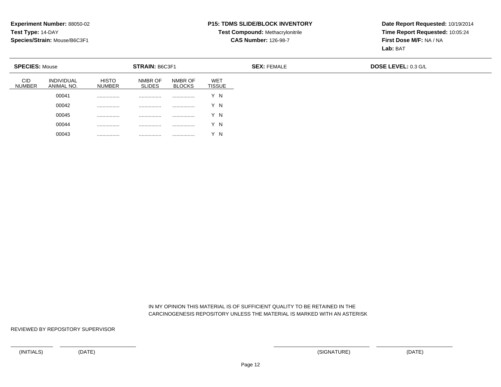### **P15: TDMS SLIDE/BLOCK INVENTORY**

# **Test Compound:** Methacrylonitrile**CAS Number:** 126-98-7

**Date Report Requested:** 10/19/2014**Time Report Requested:** 10:05:24**First Dose M/F:** NA / NA**Lab:** BAT

|                             | <b>SPECIES: Mouse</b>           |                               | <b>STRAIN: B6C3F1</b>    |                          |                             | <b>SEX: FEMALE</b> | <b>DOSE LEVEL: 0.3 G/L</b> |
|-----------------------------|---------------------------------|-------------------------------|--------------------------|--------------------------|-----------------------------|--------------------|----------------------------|
| <b>CID</b><br><b>NUMBER</b> | <b>INDIVIDUAL</b><br>ANIMAL NO. | <b>HISTO</b><br><b>NUMBER</b> | NMBR OF<br><b>SLIDES</b> | NMBR OF<br><b>BLOCKS</b> | <b>WET</b><br><b>TISSUE</b> |                    |                            |
|                             | 00041                           |                               | .                        |                          | Y N                         |                    |                            |
|                             | 00042                           | .                             | .                        | .                        | Y N                         |                    |                            |
|                             | 00045                           | .                             | .                        | .                        | Y N                         |                    |                            |
|                             | 00044                           | .                             | .                        |                          | Y N                         |                    |                            |
|                             | 00043                           |                               | .                        | .                        | $\overline{N}$              |                    |                            |

 IN MY OPINION THIS MATERIAL IS OF SUFFICIENT QUALITY TO BE RETAINED IN THECARCINOGENESIS REPOSITORY UNLESS THE MATERIAL IS MARKED WITH AN ASTERISK

REVIEWED BY REPOSITORY SUPERVISOR